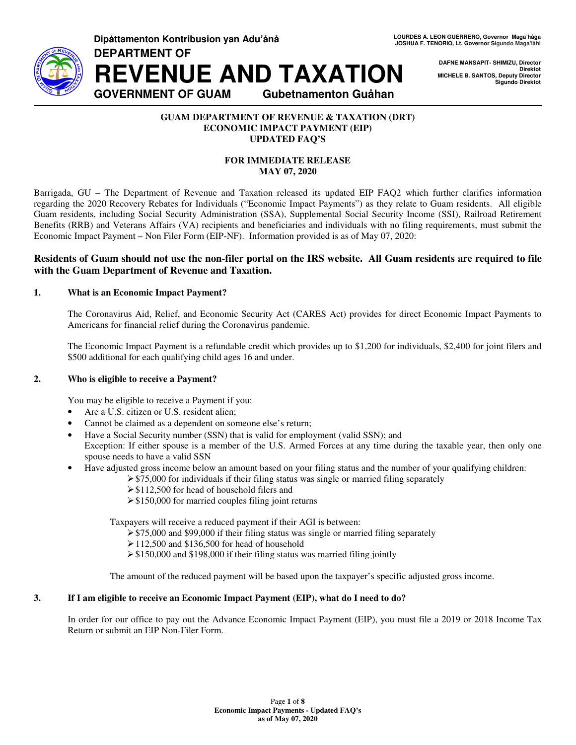

**DAFNE MANSAPIT- SHIMIZU, Director Direktot MICHELE B. SANTOS, Deputy Director Sigundo Direktot** 

### **GUAM DEPARTMENT OF REVENUE & TAXATION (DRT) ECONOMIC IMPACT PAYMENT (EIP) UPDATED FAQ'S**

## **FOR IMMEDIATE RELEASE MAY 07, 2020**

Barrigada, GU – The Department of Revenue and Taxation released its updated EIP FAQ2 which further clarifies information regarding the 2020 Recovery Rebates for Individuals ("Economic Impact Payments") as they relate to Guam residents. All eligible Guam residents, including Social Security Administration (SSA), Supplemental Social Security Income (SSI), Railroad Retirement Benefits (RRB) and Veterans Affairs (VA) recipients and beneficiaries and individuals with no filing requirements, must submit the Economic Impact Payment – Non Filer Form (EIP-NF). Information provided is as of May 07, 2020:

# **Residents of Guam should not use the non-filer portal on the IRS website. All Guam residents are required to file with the Guam Department of Revenue and Taxation.**

# **1. What is an Economic Impact Payment?**

The Coronavirus Aid, Relief, and Economic Security Act (CARES Act) provides for direct Economic Impact Payments to Americans for financial relief during the Coronavirus pandemic.

The Economic Impact Payment is a refundable credit which provides up to \$1,200 for individuals, \$2,400 for joint filers and \$500 additional for each qualifying child ages 16 and under.

## **2. Who is eligible to receive a Payment?**

You may be eligible to receive a Payment if you:

- Are a U.S. citizen or U.S. resident alien;
- Cannot be claimed as a dependent on someone else's return;
- Have a Social Security number (SSN) that is valid for employment (valid SSN); and

Exception: If either spouse is a member of the U.S. Armed Forces at any time during the taxable year, then only one spouse needs to have a valid SSN

- Have adjusted gross income below an amount based on your filing status and the number of your qualifying children:
	- $\geq$  \$75,000 for individuals if their filing status was single or married filing separately
		- $\geq$  \$112,500 for head of household filers and
		- $\geq$  \$150,000 for married couples filing joint returns

Taxpayers will receive a reduced payment if their AGI is between:

- $\geq$  \$75,000 and \$99,000 if their filing status was single or married filing separately
- $\geq 112,500$  and \$136,500 for head of household
- $\geq$  \$150,000 and \$198,000 if their filing status was married filing jointly

The amount of the reduced payment will be based upon the taxpayer's specific adjusted gross income.

## **3. If I am eligible to receive an Economic Impact Payment (EIP), what do I need to do?**

In order for our office to pay out the Advance Economic Impact Payment (EIP), you must file a 2019 or 2018 Income Tax Return or submit an EIP Non-Filer Form.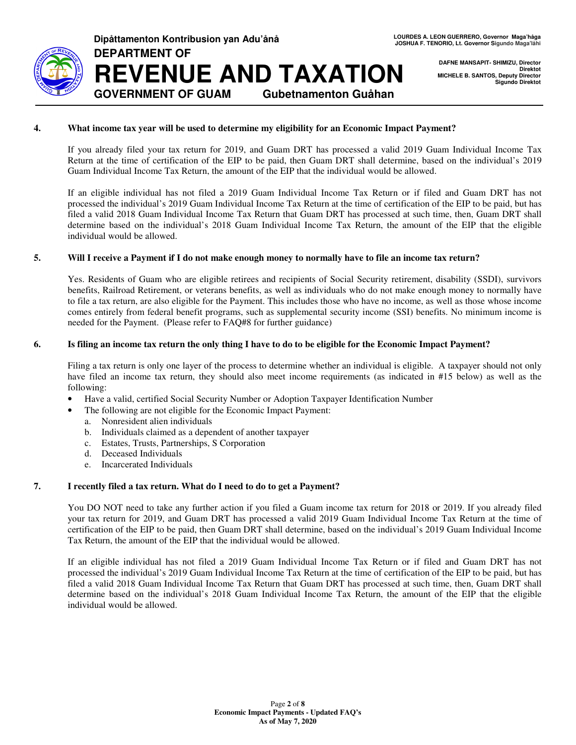

**DAFNE MANSAPIT- SHIMIZU, Director Direktot MICHELE B. SANTOS, Deputy Director Sigundo Direktot** 

## **4. What income tax year will be used to determine my eligibility for an Economic Impact Payment?**

If you already filed your tax return for 2019, and Guam DRT has processed a valid 2019 Guam Individual Income Tax Return at the time of certification of the EIP to be paid, then Guam DRT shall determine, based on the individual's 2019 Guam Individual Income Tax Return, the amount of the EIP that the individual would be allowed.

If an eligible individual has not filed a 2019 Guam Individual Income Tax Return or if filed and Guam DRT has not processed the individual's 2019 Guam Individual Income Tax Return at the time of certification of the EIP to be paid, but has filed a valid 2018 Guam Individual Income Tax Return that Guam DRT has processed at such time, then, Guam DRT shall determine based on the individual's 2018 Guam Individual Income Tax Return, the amount of the EIP that the eligible individual would be allowed.

### **5. Will I receive a Payment if I do not make enough money to normally have to file an income tax return?**

Yes. Residents of Guam who are eligible retirees and recipients of Social Security retirement, disability (SSDI), survivors benefits, Railroad Retirement, or veterans benefits, as well as individuals who do not make enough money to normally have to file a tax return, are also eligible for the Payment. This includes those who have no income, as well as those whose income comes entirely from federal benefit programs, such as supplemental security income (SSI) benefits. No minimum income is needed for the Payment. (Please refer to FAQ#8 for further guidance)

### **6. Is filing an income tax return the only thing I have to do to be eligible for the Economic Impact Payment?**

Filing a tax return is only one layer of the process to determine whether an individual is eligible. A taxpayer should not only have filed an income tax return, they should also meet income requirements (as indicated in #15 below) as well as the following:

- Have a valid, certified Social Security Number or Adoption Taxpayer Identification Number
- The following are not eligible for the Economic Impact Payment:
	- a. Nonresident alien individuals
	- b. Individuals claimed as a dependent of another taxpayer
	- c. Estates, Trusts, Partnerships, S Corporation
	- d. Deceased Individuals
	- e. Incarcerated Individuals

## **7. I recently filed a tax return. What do I need to do to get a Payment?**

You DO NOT need to take any further action if you filed a Guam income tax return for 2018 or 2019. If you already filed your tax return for 2019, and Guam DRT has processed a valid 2019 Guam Individual Income Tax Return at the time of certification of the EIP to be paid, then Guam DRT shall determine, based on the individual's 2019 Guam Individual Income Tax Return, the amount of the EIP that the individual would be allowed.

If an eligible individual has not filed a 2019 Guam Individual Income Tax Return or if filed and Guam DRT has not processed the individual's 2019 Guam Individual Income Tax Return at the time of certification of the EIP to be paid, but has filed a valid 2018 Guam Individual Income Tax Return that Guam DRT has processed at such time, then, Guam DRT shall determine based on the individual's 2018 Guam Individual Income Tax Return, the amount of the EIP that the eligible individual would be allowed.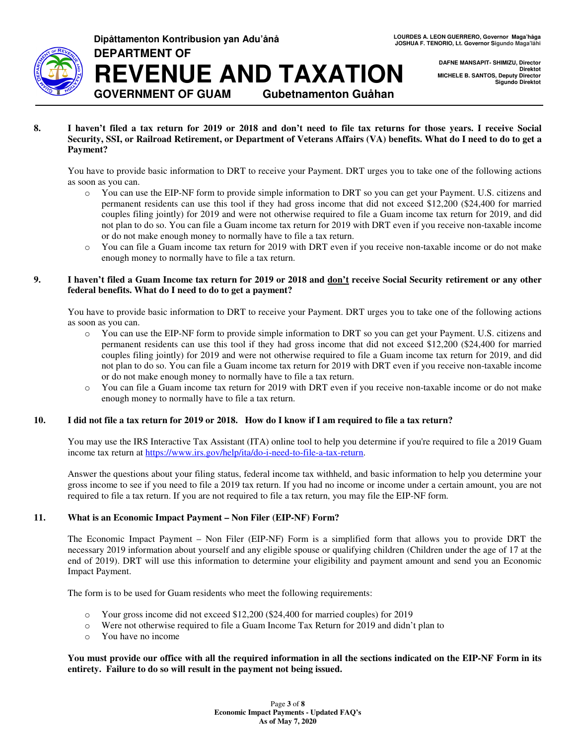

**DAFNE MANSAPIT- SHIMIZU, Director Direktot MICHELE B. SANTOS, Deputy Director Sigundo Direktot** 

**8. I haven't filed a tax return for 2019 or 2018 and don't need to file tax returns for those years. I receive Social Security, SSI, or Railroad Retirement, or Department of Veterans Affairs (VA) benefits. What do I need to do to get a Payment?** 

You have to provide basic information to DRT to receive your Payment. DRT urges you to take one of the following actions as soon as you can.

- o You can use the EIP-NF form to provide simple information to DRT so you can get your Payment. U.S. citizens and permanent residents can use this tool if they had gross income that did not exceed \$12,200 (\$24,400 for married couples filing jointly) for 2019 and were not otherwise required to file a Guam income tax return for 2019, and did not plan to do so. You can file a Guam income tax return for 2019 with DRT even if you receive non-taxable income or do not make enough money to normally have to file a tax return.
- o You can file a Guam income tax return for 2019 with DRT even if you receive non-taxable income or do not make enough money to normally have to file a tax return.

## **9. I haven't filed a Guam Income tax return for 2019 or 2018 and don't receive Social Security retirement or any other federal benefits. What do I need to do to get a payment?**

You have to provide basic information to DRT to receive your Payment. DRT urges you to take one of the following actions as soon as you can.

- o You can use the EIP-NF form to provide simple information to DRT so you can get your Payment. U.S. citizens and permanent residents can use this tool if they had gross income that did not exceed \$12,200 (\$24,400 for married couples filing jointly) for 2019 and were not otherwise required to file a Guam income tax return for 2019, and did not plan to do so. You can file a Guam income tax return for 2019 with DRT even if you receive non-taxable income or do not make enough money to normally have to file a tax return.
- o You can file a Guam income tax return for 2019 with DRT even if you receive non-taxable income or do not make enough money to normally have to file a tax return.

## **10. I did not file a tax return for 2019 or 2018. How do I know if I am required to file a tax return?**

You may use the IRS Interactive Tax Assistant (ITA) online tool to help you determine if you're required to file a 2019 Guam income tax return at https://www.irs.gov/help/ita/do-i-need-to-file-a-tax-return.

Answer the questions about your filing status, federal income tax withheld, and basic information to help you determine your gross income to see if you need to file a 2019 tax return. If you had no income or income under a certain amount, you are not required to file a tax return. If you are not required to file a tax return, you may file the EIP-NF form.

## **11. What is an Economic Impact Payment – Non Filer (EIP-NF) Form?**

The Economic Impact Payment – Non Filer (EIP-NF) Form is a simplified form that allows you to provide DRT the necessary 2019 information about yourself and any eligible spouse or qualifying children (Children under the age of 17 at the end of 2019). DRT will use this information to determine your eligibility and payment amount and send you an Economic Impact Payment.

The form is to be used for Guam residents who meet the following requirements:

- o Your gross income did not exceed \$12,200 (\$24,400 for married couples) for 2019
- o Were not otherwise required to file a Guam Income Tax Return for 2019 and didn't plan to
- o You have no income

## **You must provide our office with all the required information in all the sections indicated on the EIP-NF Form in its entirety. Failure to do so will result in the payment not being issued.**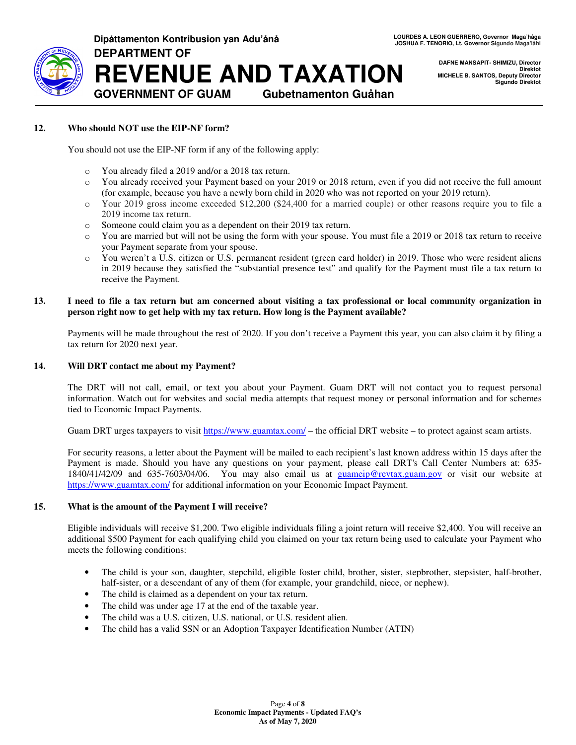

**DAFNE MANSAPIT- SHIMIZU, Director Direktot MICHELE B. SANTOS, Deputy Director Sigundo Direktot** 

## **12. Who should NOT use the EIP-NF form?**

You should not use the EIP-NF form if any of the following apply:

- o You already filed a 2019 and/or a 2018 tax return.
- o You already received your Payment based on your 2019 or 2018 return, even if you did not receive the full amount (for example, because you have a newly born child in 2020 who was not reported on your 2019 return).
- o Your 2019 gross income exceeded \$12,200 (\$24,400 for a married couple) or other reasons require you to file a 2019 income tax return.
- o Someone could claim you as a dependent on their 2019 tax return.
- o You are married but will not be using the form with your spouse. You must file a 2019 or 2018 tax return to receive your Payment separate from your spouse.
- o You weren't a U.S. citizen or U.S. permanent resident (green card holder) in 2019. Those who were resident aliens in 2019 because they satisfied the "substantial presence test" and qualify for the Payment must file a tax return to receive the Payment.

#### **13. I need to file a tax return but am concerned about visiting a tax professional or local community organization in person right now to get help with my tax return. How long is the Payment available?**

Payments will be made throughout the rest of 2020. If you don't receive a Payment this year, you can also claim it by filing a tax return for 2020 next year.

#### **14. Will DRT contact me about my Payment?**

The DRT will not call, email, or text you about your Payment. Guam DRT will not contact you to request personal information. Watch out for websites and social media attempts that request money or personal information and for schemes tied to Economic Impact Payments.

Guam DRT urges taxpayers to visit https://www.guamtax.com/ – the official DRT website – to protect against scam artists.

For security reasons, a letter about the Payment will be mailed to each recipient's last known address within 15 days after the Payment is made. Should you have any questions on your payment, please call DRT's Call Center Numbers at: 635- 1840/41/42/09 and 635-7603/04/06. You may also email us at guameip@revtax.guam.gov or visit our website at https://www.guamtax.com/ for additional information on your Economic Impact Payment.

#### **15. What is the amount of the Payment I will receive?**

Eligible individuals will receive \$1,200. Two eligible individuals filing a joint return will receive \$2,400. You will receive an additional \$500 Payment for each qualifying child you claimed on your tax return being used to calculate your Payment who meets the following conditions:

- The child is your son, daughter, stepchild, eligible foster child, brother, sister, stepbrother, stepsister, half-brother, half-sister, or a descendant of any of them (for example, your grandchild, niece, or nephew).
- The child is claimed as a dependent on your tax return.
- The child was under age 17 at the end of the taxable year.
- The child was a U.S. citizen, U.S. national, or U.S. resident alien.
- The child has a valid SSN or an Adoption Taxpayer Identification Number (ATIN)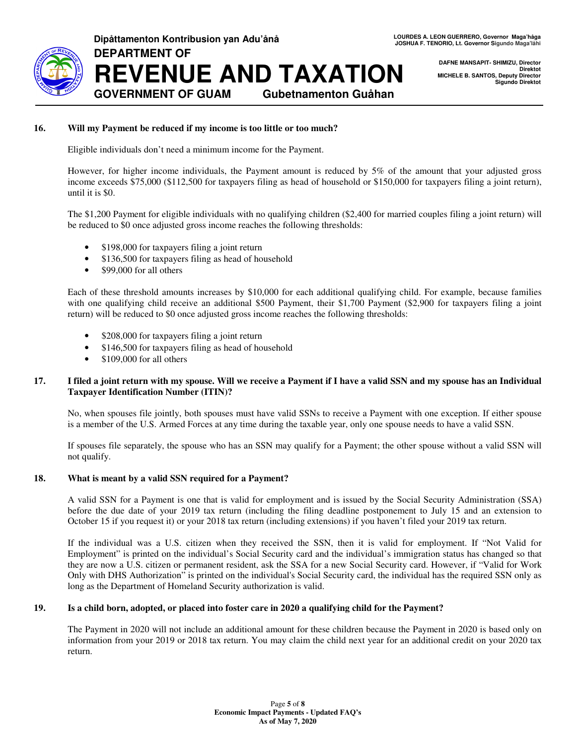

LOURDES A. LEON GUERRERO, Governor Maga'håga<br>JOSHUA F. TENORIO, Lt. Governor Sigundo Maga'låhi

**DAFNE MANSAPIT- SHIMIZU, Director Direktot MICHELE B. SANTOS, Deputy Director Sigundo Direktot** 

# **16. Will my Payment be reduced if my income is too little or too much?**

**Dipåttamenton Kontribusion yan Adu'ånå** 

**DEPARTMENT OF**

Eligible individuals don't need a minimum income for the Payment.

**REVENUE AND TAXATION**

**GOVERNMENT OF GUAM Gubetnamenton Guåhan** 

However, for higher income individuals, the Payment amount is reduced by 5% of the amount that your adjusted gross income exceeds \$75,000 (\$112,500 for taxpayers filing as head of household or \$150,000 for taxpayers filing a joint return), until it is \$0.

The \$1,200 Payment for eligible individuals with no qualifying children (\$2,400 for married couples filing a joint return) will be reduced to \$0 once adjusted gross income reaches the following thresholds:

- \$198,000 for taxpayers filing a joint return
- \$136,500 for taxpayers filing as head of household
- \$99,000 for all others

Each of these threshold amounts increases by \$10,000 for each additional qualifying child. For example, because families with one qualifying child receive an additional \$500 Payment, their \$1,700 Payment (\$2,900 for taxpayers filing a joint return) will be reduced to \$0 once adjusted gross income reaches the following thresholds:

- \$208,000 for taxpayers filing a joint return
- \$146,500 for taxpayers filing as head of household
- \$109,000 for all others

### **17. I filed a joint return with my spouse. Will we receive a Payment if I have a valid SSN and my spouse has an Individual Taxpayer Identification Number (ITIN)?**

No, when spouses file jointly, both spouses must have valid SSNs to receive a Payment with one exception. If either spouse is a member of the U.S. Armed Forces at any time during the taxable year, only one spouse needs to have a valid SSN.

If spouses file separately, the spouse who has an SSN may qualify for a Payment; the other spouse without a valid SSN will not qualify.

#### **18. What is meant by a valid SSN required for a Payment?**

A valid SSN for a Payment is one that is valid for employment and is issued by the Social Security Administration (SSA) before the due date of your 2019 tax return (including the filing deadline postponement to July 15 and an extension to October 15 if you request it) or your 2018 tax return (including extensions) if you haven't filed your 2019 tax return.

If the individual was a U.S. citizen when they received the SSN, then it is valid for employment. If "Not Valid for Employment" is printed on the individual's Social Security card and the individual's immigration status has changed so that they are now a U.S. citizen or permanent resident, ask the SSA for a new Social Security card. However, if "Valid for Work Only with DHS Authorization" is printed on the individual's Social Security card, the individual has the required SSN only as long as the Department of Homeland Security authorization is valid.

#### **19. Is a child born, adopted, or placed into foster care in 2020 a qualifying child for the Payment?**

The Payment in 2020 will not include an additional amount for these children because the Payment in 2020 is based only on information from your 2019 or 2018 tax return. You may claim the child next year for an additional credit on your 2020 tax return.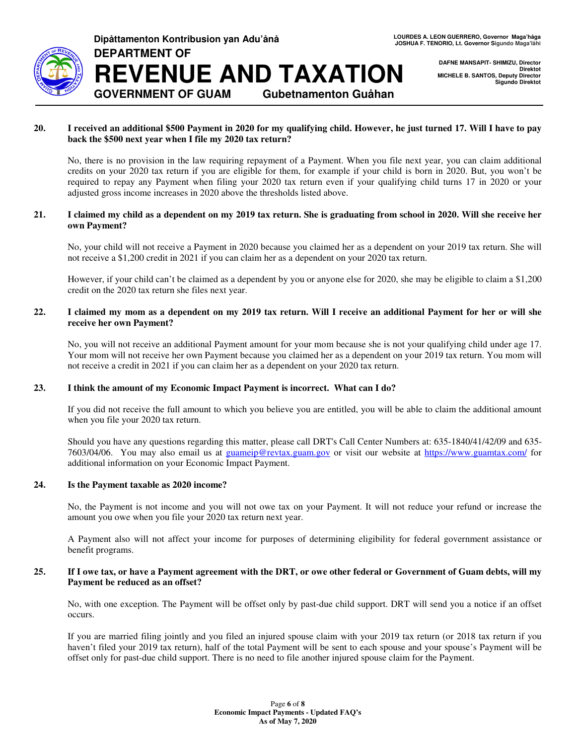

**DAFNE MANSAPIT- SHIMIZU, Director Direktot MICHELE B. SANTOS, Deputy Director Sigundo Direktot** 

# **20. I received an additional \$500 Payment in 2020 for my qualifying child. However, he just turned 17. Will I have to pay back the \$500 next year when I file my 2020 tax return?**

**REVENUE AND TAXATION**

**GOVERNMENT OF GUAM Gubetnamenton Guåhan** 

No, there is no provision in the law requiring repayment of a Payment. When you file next year, you can claim additional credits on your 2020 tax return if you are eligible for them, for example if your child is born in 2020. But, you won't be required to repay any Payment when filing your 2020 tax return even if your qualifying child turns 17 in 2020 or your adjusted gross income increases in 2020 above the thresholds listed above.

## **21. I claimed my child as a dependent on my 2019 tax return. She is graduating from school in 2020. Will she receive her own Payment?**

No, your child will not receive a Payment in 2020 because you claimed her as a dependent on your 2019 tax return. She will not receive a \$1,200 credit in 2021 if you can claim her as a dependent on your 2020 tax return.

However, if your child can't be claimed as a dependent by you or anyone else for 2020, she may be eligible to claim a \$1,200 credit on the 2020 tax return she files next year.

### **22. I claimed my mom as a dependent on my 2019 tax return. Will I receive an additional Payment for her or will she receive her own Payment?**

No, you will not receive an additional Payment amount for your mom because she is not your qualifying child under age 17. Your mom will not receive her own Payment because you claimed her as a dependent on your 2019 tax return. You mom will not receive a credit in 2021 if you can claim her as a dependent on your 2020 tax return.

#### **23. I think the amount of my Economic Impact Payment is incorrect. What can I do?**

**Dipåttamenton Kontribusion yan Adu'ånå** 

**DEPARTMENT OF**

If you did not receive the full amount to which you believe you are entitled, you will be able to claim the additional amount when you file your 2020 tax return.

Should you have any questions regarding this matter, please call DRT's Call Center Numbers at: 635-1840/41/42/09 and 635- 7603/04/06. You may also email us at guameip@revtax.guam.gov or visit our website at https://www.guamtax.com/ for additional information on your Economic Impact Payment.

#### **24. Is the Payment taxable as 2020 income?**

No, the Payment is not income and you will not owe tax on your Payment. It will not reduce your refund or increase the amount you owe when you file your 2020 tax return next year.

A Payment also will not affect your income for purposes of determining eligibility for federal government assistance or benefit programs.

#### **25. If I owe tax, or have a Payment agreement with the DRT, or owe other federal or Government of Guam debts, will my Payment be reduced as an offset?**

No, with one exception. The Payment will be offset only by past-due child support. DRT will send you a notice if an offset occurs.

If you are married filing jointly and you filed an injured spouse claim with your 2019 tax return (or 2018 tax return if you haven't filed your 2019 tax return), half of the total Payment will be sent to each spouse and your spouse's Payment will be offset only for past-due child support. There is no need to file another injured spouse claim for the Payment.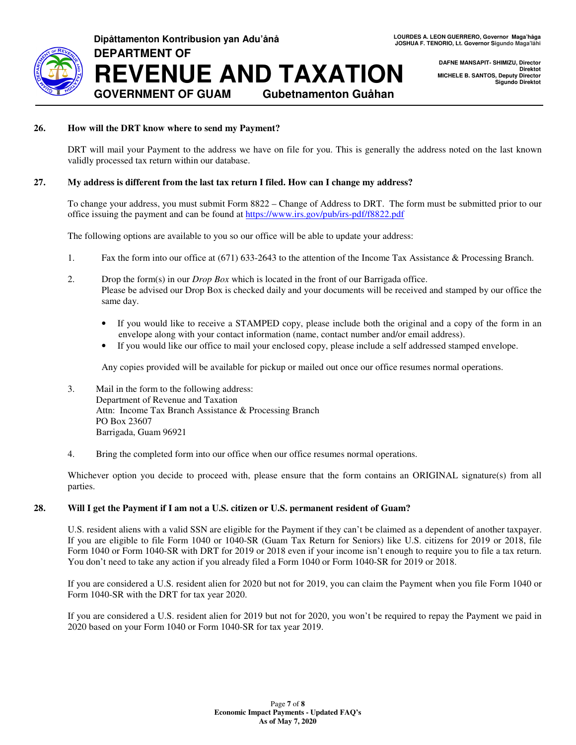

**DAFNE MANSAPIT- SHIMIZU, Director Direktot MICHELE B. SANTOS, Deputy Director Sigundo Direktot** 

## **26. How will the DRT know where to send my Payment?**

DRT will mail your Payment to the address we have on file for you. This is generally the address noted on the last known validly processed tax return within our database.

### **27. My address is different from the last tax return I filed. How can I change my address?**

To change your address, you must submit Form 8822 – Change of Address to DRT. The form must be submitted prior to our office issuing the payment and can be found at https://www.irs.gov/pub/irs-pdf/f8822.pdf

The following options are available to you so our office will be able to update your address:

- 1. Fax the form into our office at (671) 633-2643 to the attention of the Income Tax Assistance & Processing Branch.
- 2. Drop the form(s) in our *Drop Box* which is located in the front of our Barrigada office. Please be advised our Drop Box is checked daily and your documents will be received and stamped by our office the same day.
	- If you would like to receive a STAMPED copy, please include both the original and a copy of the form in an envelope along with your contact information (name, contact number and/or email address).
	- If you would like our office to mail your enclosed copy, please include a self addressed stamped envelope.

Any copies provided will be available for pickup or mailed out once our office resumes normal operations.

- 3. Mail in the form to the following address: Department of Revenue and Taxation Attn: Income Tax Branch Assistance & Processing Branch PO Box 23607 Barrigada, Guam 96921
- 4. Bring the completed form into our office when our office resumes normal operations.

Whichever option you decide to proceed with, please ensure that the form contains an ORIGINAL signature(s) from all parties.

## **28. Will I get the Payment if I am not a U.S. citizen or U.S. permanent resident of Guam?**

U.S. resident aliens with a valid SSN are eligible for the Payment if they can't be claimed as a dependent of another taxpayer. If you are eligible to file Form 1040 or 1040-SR (Guam Tax Return for Seniors) like U.S. citizens for 2019 or 2018, file Form 1040 or Form 1040-SR with DRT for 2019 or 2018 even if your income isn't enough to require you to file a tax return. You don't need to take any action if you already filed a Form 1040 or Form 1040-SR for 2019 or 2018.

If you are considered a U.S. resident alien for 2020 but not for 2019, you can claim the Payment when you file Form 1040 or Form 1040-SR with the DRT for tax year 2020.

If you are considered a U.S. resident alien for 2019 but not for 2020, you won't be required to repay the Payment we paid in 2020 based on your Form 1040 or Form 1040-SR for tax year 2019.